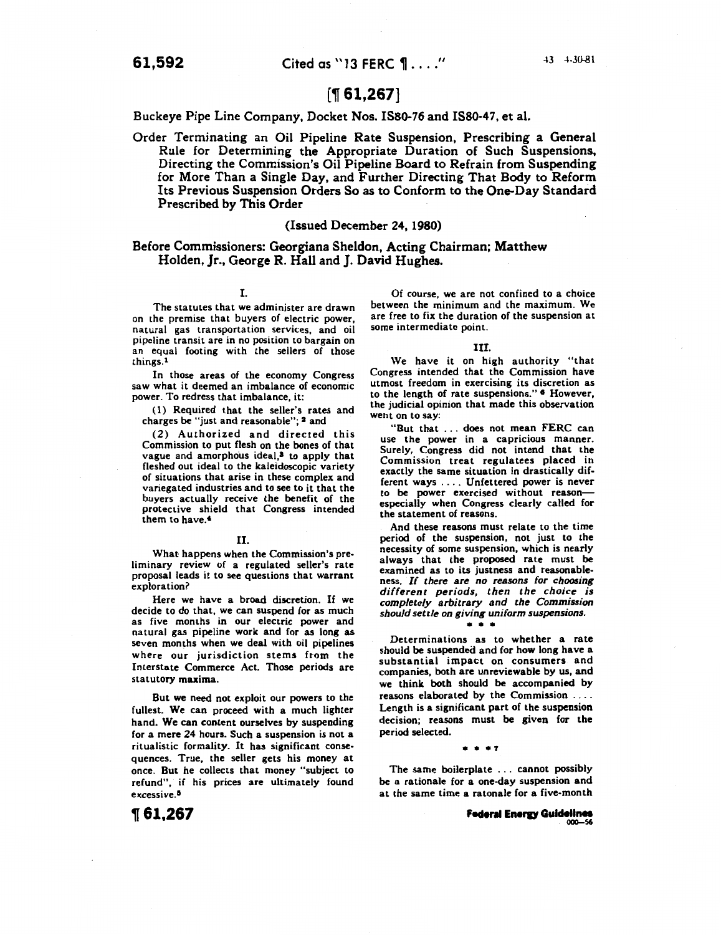# [~ **61,267]**

Buckeye Pipe Line Company, Docket Nos. ISS0-76 and ISS0-47, et al.

Order Terminating an Oil Pipeline Rate Suspension, Prescribing a General Rule for Determining the Appropriate Duration of Such Suspensions, Directing the Commission's Oil Pipeline Board to Refrain from Suspending for More Than a Single Day, and Further Directing That Body to Reform Its Previous Suspension Orders So as to Conform to the One-Day Standard Prescribed by This Order

# (Issued December 24, 1980)

# Before Commissioners: Georgiana Sheldon, Acting Chairman; Matthew Holden, Jr., George R. Hall and J. David Hughes.

# I.

The statutes that we administer are drawn on the premise that buyers of electric power, natural gas transportation services, and oil an equal footing with the sellers of those things.<sup>1</sup>

In those areas of the economy Congress saw what it deemed an imbalance of economic power. To redress that imbalance, it:

( 1) Required that the seller's rates and charges be "just and reasonable"; 2 and

(2) Authorized and directed this Commission to put flesh on the bones of that vague and amorphous ideal,<sup>3</sup> to apply that fleshed out ideal to the kaleidoscopic variety of situations that arise in these complex and variegated industries and to see to it that the buyers actually receive the benefit of the protective shield that Congress intended them to have.<sup>4</sup>

#### II.

What happens when the Commission's preliminary review of a regulated seller's rate proposal leads it to see questions that warrant exploration?

Here we have a broad discretion. If we decide to do that, we can suspend for as much as five months in our electric power and natural gas pipeline work and for as long as seven months when we deal with oil pipelines where our jurisdiction stems from the Interstate Commerce Act. Those periods are statutory maxima.

But we need not exploit our powers to the fullest. We can proceed with a much lighter hand. We can content ourselves by suspending for a mere 24 hours. Such a suspension is not a ritualistic formality. It has significant consequences. True, the seller gets his money at once. But he collects that money "subject to refund", if his prices are ultimately found excessive.<sup>5</sup>

Of course, we are not confined to a choice between the minimum and the maximum. We are free to fix the duration of the suspension at some intermediate point.

#### III.

We have it on high authority "that Congress intended that the Commission have utmost freedom in exercising its discretion as to the length of rate suspensions."<sup>6</sup> However, the judicial opinion that made this observation went on to say:

"But that ... does not mean FERC can use the power in a capricious manner. Surely, Congress did not intend that the Commission treat regulatees placed in exactly the same situation in drastically different ways .... Unfettered power is never to be power exercised without reason- especially when Congress clearly called for the statement of reasons.

And these reasons must relate to the time period of the suspension, not just to the necessity of some suspension, which is nearly always that the proposed rate must be examined as to its justness and reasonable-ness. *If there are no reasons for choosing different periods, then the choice is completely arbitrary and the Commission should settle on giving uniform suspensions.* 

#### • • •

Determinations as to whether a rate should be suspended and for how long have a substantial impact on consumers and companies, both are unreviewable by us, and we think both should be accompanied by reasons elaborated by the Commission .... Length is a significant part of the suspension decision; reasons must be given for the period selected.

#### $... + +7$

The same boilerplate . . . cannot possibly be a rationale for a one-day suspension and at the same time a ratonale for a five-month

~61,267

**Federal Energy Guidelines**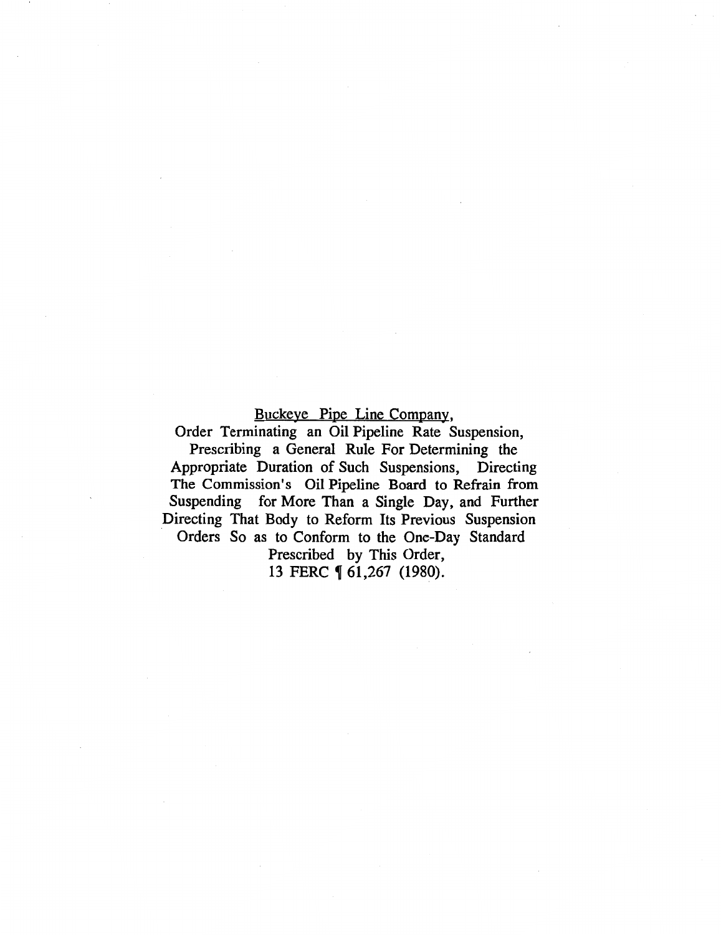# Buckeye Pipe Line Company,

Order Terminating an Oil Pipeline Rate Suspension,

Prescribing a General Rule For Determining the Appropriate Duration of Such Suspensions, Directing The Commission's Oil Pipeline Board to Refrain from Suspending for More Than a Single Day, and Further Directing That Body to Reform Its Previous Suspension Orders So as to Conform to the One-Day Standard

Prescribed by This Order,

13 FERC  $\lbrack 61,267$  (1980).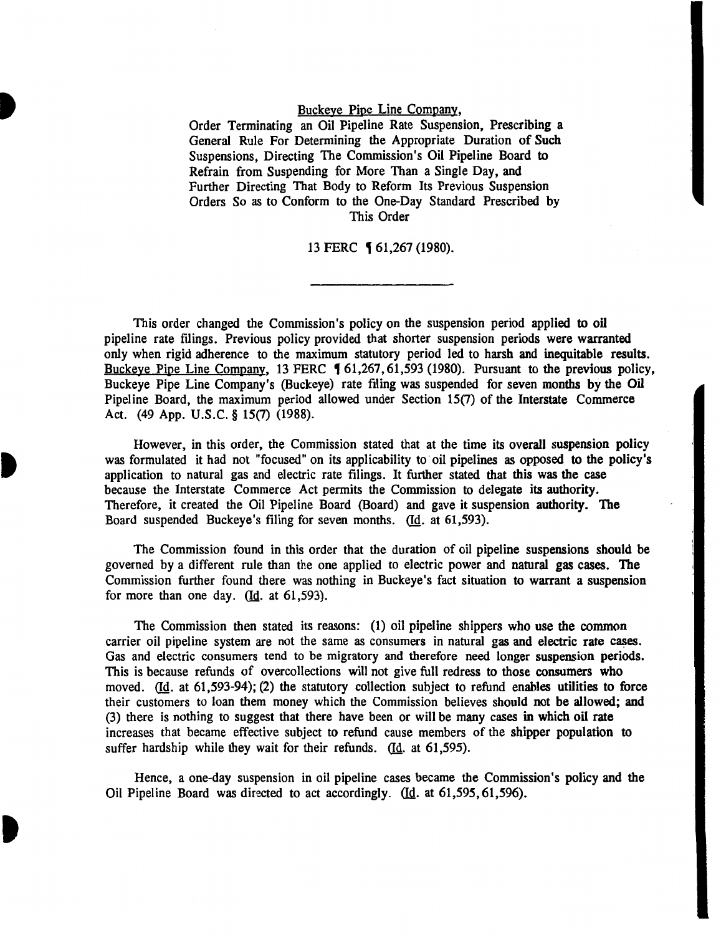# Buckeye Pipe Line Company,

Order Terminating an Oil Pipeline Rate Suspension, Prescribing a General Rule For Determining the Appropriate Duration of Such Suspensions, Directing The Commission's Oil Pipeline Board to Refrain from Suspending for More Than a Single Day, and Further Directing That Body to Reform Its Previous Suspension Orders So as to Conform to the One-Day Standard Prescribed by This Order

# 13 FERC **[61,267 (1980).**

This order changed the Commission's policy on the suspension period applied to oil pipeline rate filings. Previous policy provided that shorter suspension periods were warranted only when rigid adherence to the maximum statutory period led to harsh and inequitable results. Buckeye Pipe Line Company, 13 FERC 161,267,61,593 (1980). Pursuant to the previous policy, Buckeye Pipe Line Company's (Buckeye) rate filing was suspended for seven months by the Oil Pipeline Board, the maximum period allowed under Section 15(7) of the Interstate Commerce Act. (49 App. U.S.C. § 15(7) (1988).

However, in this order, the Commission stated that at the time its overall suspension policy was formulated it had not "focused" on its applicability to oil pipelines as opposed to the policy's application to natural gas and electric rate filings. It further stated that this was the case because the Interstate Commerce Act permits the Commission to delegate its authority. Therefore, it created the Oil Pipeline Board (Board) and gave it suspension authority. The Board suspended Buckeye's filing for seven months. (Id. at 61,593).

The Commission found in this order that the duration of oil pipeline suspensions should be governed by a different rule than the one applied to electric power and natural gas cases. The Commission further found there was nothing in Buckeye's fact situation to warrant a suspension for more than one day.  $(d_d. at 61,593)$ .

The Commission then stated its reasons: (1) oil pipeline shippers who use the common carrier oil pipeline system are not the same as consumers in natural gas and electric rate cases. Gas and electric consumers tend to be migratory and therefore need longer suspension periods. This is because refunds of overcollections will not give full redress to those consumers who moved. (Id. at 61,593-94); (2) the statutory collection subject to refund enables utilities to force their customers to loan them money which the Commission believes should not be allowed; and (3) there is nothing to suggest that there have been or will be many cases in which oil rate increases that became effective subject to refund cause members of the shipper population to suffer hardship while they wait for their refunds.  $(Id. at 61,595)$ .

Hence, a one-day suspension in oil pipeline cases became the Commission's policy and the Oil Pipeline Board was directed to act accordingly. (Id. at 61,595, 61,596).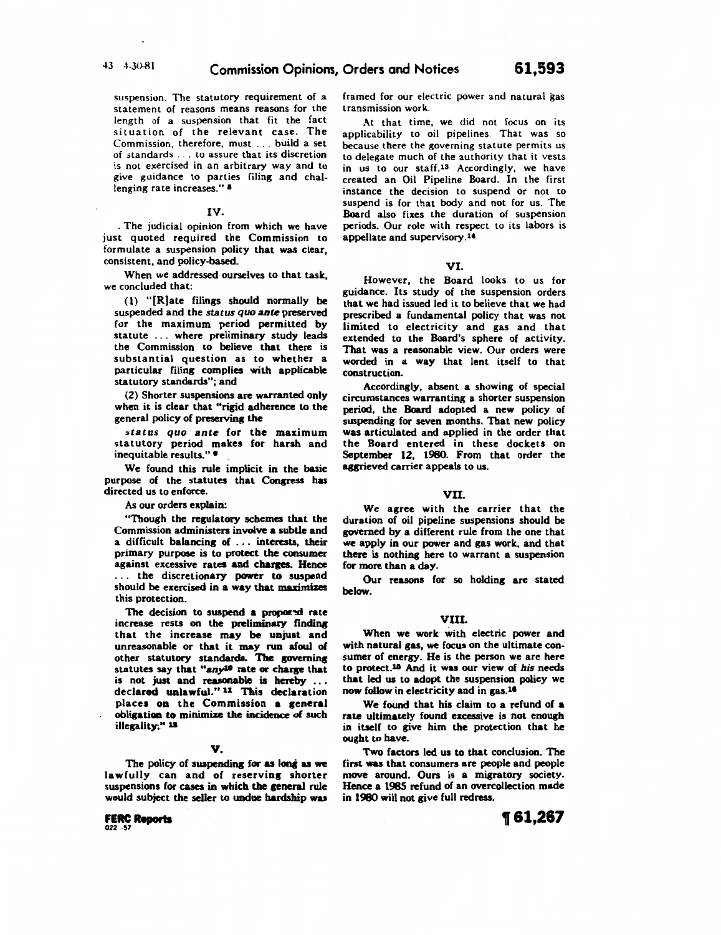suspension. The statutory requirement of a statement of reasons means reasons for the length of a suspension that fit the fact situation of the relevant case. The Commission, therefore, must ... build a set of standards ... to assure that its discretion is not exercised in an arbitrary way and to give guidance to parties filing and challenging rate increases." 8

### IV.

. The judicial opinion from which we have just quoted required the Commission to formulate a suspension policy that was clear, consistent, and policy-based.

When we addressed ourselves to that task, we concluded that:

(1) "[R]ate filings should normally be suspended and the *status quo* ante preserved for the maximum period permitted by statute ... where preliminary study leads the Commission to believe that there is substantial question as to whether a particular filing complies with applicable statutory standards"; and

(2) Shorter suspensions are warranted only when it is clear that "rigid adherence to the general policy of preserving the

status quo ante for the maximum statutory period makes for harsh and inequitable results."

We found this rule implicit in the basic purpose of the statutes that Congress has directed us to enforce.

As our orders explain:

"Though the regulatory schemes that the Commission administers involve a subtle and a difficult balancing of . . . interests, their primary purpose is to protect the consumer against excessive rates and charges. Hence ... the discretionary power to suspend should be exercised in a way that maximizes this protection.

The decision to suspend a proposed rate increase rests on the preliminary finding that the increase may be unjust and unreasonable or that it may run afoul of other statutory standards. The governing statutes say that "any<sup>10</sup> rate or charge that is not just and reasonable is hereby ... declared unlawful." 11 This declaration places on the Commission a general obligation to minimize the incidence of such illegality." 18

# v.

The policy of suspending for as long as we lawfully can and of reserving shorter suspensions for cases in which the general rule would subject the seller to undue hardship was

**FERC Reports** 022 ··S7

framed for our electric power and natural gas transmission work.

At that time, we did not focus on its applicability to oil pipelines. That was so because there the governing statute permits us to delegate much of the authority that it vests in us to our staff.13 Accordingly, we have created an Oil Pipeline Board. In the first instance the decision to suspend or not to suspend is for that body and not for us. The Board also fixes the duration of suspension periods. Our role with respect to its labors is appellate and supervisory.<sup>14</sup>

# VI.

However, the Board looks to us for guidance. Its study of the suspension orders that we had issued led it to believe that we had prescribed a fundamental policy that was not limited to electricity and gas and that extended to the Board's sphere of activity. That was a reasonable view. Our orders were worded in a way that lent itself to that construction.

Accordingly, absent a showing of special circumstances warranting a shorter suspension period, the Board adopted a new policy of suspending for seven months. That new policy was articulated and applied in the order that the Board entered in these dockets on September 12, 1980. From that order the agrieved carrier appeals to us.

### VII.

We agree with the carrier that the duration of oil pipeline suspensions should be governed by a different rule from the one that we apply in our power and gas work, and that there is nothing here to warrant a suspension for more than a day.

Our reasons for so holding are stated below.

# VIII.

When we work with electric power and with natural gas, we focus on the ultimate consumer of energy. He is the person we are here to protect.<sup>15</sup> And it was our view of his needs that led us to adopt the suspension policy we now follow in electricity and in gas.<sup>16</sup>

We found that his claim to a refund of a rate ultimately found excessive is not enough in itself to give him the protection that he ought to have.

Two factors led us to that conclusion. The finst was that consumers are people and people move around. Ours is a migratory society. Hence a 1985 refund of an overcollection made in 1980 will not give full redress.

**1f61,267**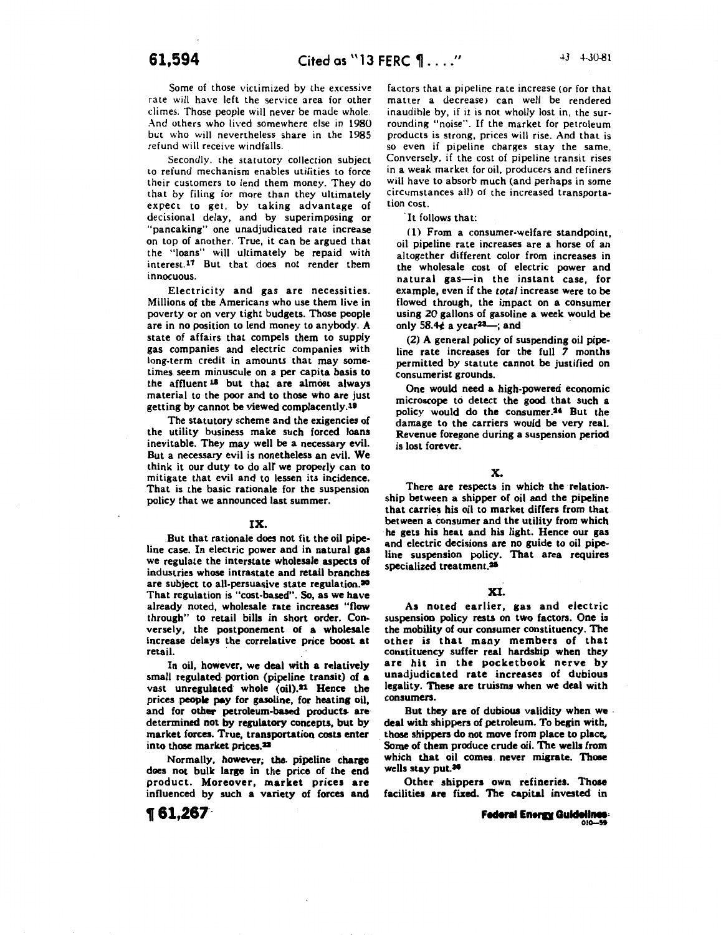Some of those victimized by the excessive rate will have left the service area for other climes. Those people will never be made whole. And others who lived somewhere else in 1980 but who will nevertheless share in the 1985 refund will receive windfalls.

Secondly. the statutory collection subject to refund mechanism enables utilities to force their customers to lend them money. They do that by filing ior more than they ultimately expect to get, by taking advantage of decisional delay, and by superimposing or "pancaking" one unadjudicated rate increase on top of another. True, it can be argued that the "loans" will ultimately be repaid with interest.<sup>17</sup> But that does not render them innocuous.

Electricity and gas are necessities. Millions of the Americans who use them live in poverty or on very tight budgets. Those people are in no position to lend money to anybody. A state of affairs that compels them to supply gas companies and electric companies with long-term credit in amounts that may sometimes seem minuscule on a per capita basis to the affluent <sup>18</sup> but that are almost always material to the poor and to those who are just getting by cannot be viewed complacently.<sup>19</sup>

The statutory scheme and the exigencies of the utility business make such forced loans inevitable. They may well be a necessary evil. But a necessary evil is nonetheless an evil. We think it our duty to do air we properly can to mitigate that evil and to lessen its incidence. That is the basic rationale for the suspension policy that we announced last summer.

#### IX.

.But that rationale does not fit the oil pipeline case. In electric power and in natural gas we regulate the interstate wholesale aspects of industries whose intrastate and retail branches are subject to all-persuasive state regulation.<sup>20</sup> That regulation is "cost-based". So, as we have already noted, wholesale rate increases "flow through" to retail bills in short order. Conversely, the postponement of a wholesale increase delays the correlative price boost at retail.

In oil, however, we deal with a relatively small regulated portion (pipeline transit) of **a**  vast unregulated whole (oil).<sup>21</sup> Hence the prices people pay for gasoline, for heating oil, and for other petroleum-based products are determined not by regulatory concepts, but by market forces. True, transportation costs enter into those market prices.<sup>22</sup>

Normally, however; the pipeline charge does not bulk large in the price of the end product. Moreover, market prices are influenced by such a variety of forces and

**1[61,267·** 

factors that a pipeline rate increase (or for that matter a decrease) can well be rendered inaudible by, if it is not wholly lost in, the surrounding "noise". If the market for petroleum products is strong, prices will rise. And that is so even if pipeline charges stay the same. Conversely, if the cost of pipeline transit rises in a weak market for oil, producers and refiners will have to absorb much (and perhaps in some circumstances all) of the increased transportation cost.

#### ·It follows that:

( 1) From a consumer-welfare standpoint, oil pipeline rate increases are a horse of an altogether different color from increases in the wholesale cost of electric power and natural gas-in the instant case, for example, even if the *total* increase were to be flowed through, the impact on a consumer using 20 gallons of gasoline a week would be only 58.4 $\epsilon$  a year<sup>23</sup>-; and

(2) A general policy of suspending oil pipeline rate increases for the full *7* months permitted by statute cannot be justified on consumerist grounds.

One would need a high-powered economic microscope to detect the good that such a policy would do the consumer.<sup>24</sup> But the damage to the carriers would be very real. Revenue foregone during a suspension period is lost forever.

# X.

There are respects in which the relationship between a shipper of oil and the pipeline that carries his oil to market differs from that between a consumer and the utility from which he gets his heat and his light. Hence our gas and electric decisions are no guide to oil pipeline suspension policy. That area requires specialized treatment.<sup>25</sup>

# XI.

As noted earlier, gas and electric suspension policy rests on two factors. One is the mobility of our consumer constituency. The other is that many members of that constituency suffer real hardship when they are hit in the pocketbook nerve by unadjudicated rate increases of dubious legality. These are truisms when we deal with consumers.

But they are of dubious validity when we deal with shippers of petroleum. To begin with, those shippers do not move from place to place. Some of them produce crude oil. The wells from which that oil comes. never migrate. Those wells stay put.<sup>26</sup>

Other shippers own refineries. Those facilities are fixed. The capital invested in

**Fedenl Enera Guldell,..,** OIC~-51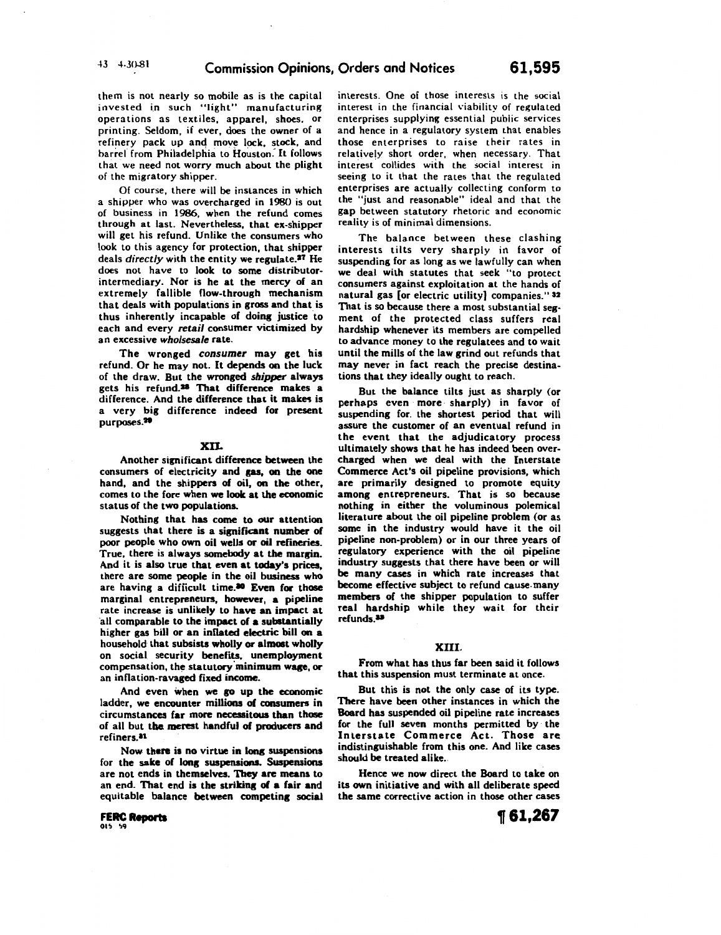them is not nearly so mobile as is the capital invested in such "light" manufacturing operations as textiles, apparel, shoes, or printing. Seldom, if ever, does the owner of a refinery pack up and move lock, stock, and barrel from Philadelphia to Houston: It follows that we need not worry much about the plight of the migratory shipper.

Of course, there will be instances in which a shipper who was overcharged in 1980 is out of business in 1986, when the refund comes through at last. Nevertheless, that ex-shipper will get his refund. Unlike the consumers who look to this agency for protection, that shipper deals *directly* with the entity we regulate.2T He does not have to look to some distributorintermediary. Nor is he at the mercy of an extremely fallible flow-through mechanism that deals with populations in gross and that is thus inherently incapable of doing justice to each and every *retail* consumer victimized by an excessive *who/sesale* rate.

The wronged *consumer* may get his refund. Or he may not. It depends on the luck of the draw. But the wronged *shipper* always gets his refund.<sup>28</sup> That difference makes a difference. And the difference that it makes is a very big difference indeed for present purposes.<sup>20</sup>

#### xn.

Another significant difference between the consumers of electricity and gas, on the one hand, and the shippers of oil, on the other, comes to the fore when we look at the economic status of the two populations.

Nothing that has come to our attention suggests that there is a significant number of poor people who own oil wells or oil refineries. True, there is always somebody at the margin. And it is also true that even at today's prices, there are some people in the oil business who are having a difficult time.<sup>30</sup> Even for those marginal entrepreneurs, however, a pipeline rate increase is unlikely to have an impact at ·all comparable to the impact of **a** substantially higher gas bill or an inflated electric bill on a household that subsists wholly or almost wholly on social security benefits, unemployment compensation, the statutory minimum wage, or an inflation-ravaged fixed income.

And even when we go up the economic ladder, we encounter millions of consumers in circumstances far more necessitous than those of all but tbe. merest handful of producers and refiners. II

Now there is no virtue in long suspensions for the sake of long suspensions. Suspensions are not ends in themselves. They are means to an end. That end is the striking of a fair and equitable balance between competing social

**FERC Reports** 015 59

interests. One of those interests is the social interest in the financial viability of regulated enterprises supplying essential public services and hence in a regulatory system that enables those enterprises to raise their rates in relatively short order, when necessary. That interest. collides with the social interest in seeing to it that the rates that the regulated enterprises are actually collecting conform to the "just and reasonable" ideal and that the gap between statutory rhetoric and economic reality is of minimal dimensions.

The balance between these clashing interests tilts very sharply in favor of suspending for as long as we lawfully can when we deal with statutes that seek "to protect consumers against exploitation at the hands of natural gas [or electric utility) companies." 32 That is so because there a most substantial segment of the protected class suffers real hardship whenever its members are compelled to advance money to the regulatees and to wait until the mills of the law grind out refunds that may never in fact reach the precise destinations that they ideally ought to reach.

But the balance tilts just as sharply (or perhaps even more· sharply) in favor of suspending for. the shortest period that will assure the customer of an eventual refund in the event that the adjudicatory process ultimately shows that he has indeed been overcharged when we deal with the Interstate Commerce Act's oil pipeline provisions, which are primarily designed to promote equity among entrepreneurs. That is so because nothing in either the voluminous polemical literature about the oil pipeline problem (or as some in the industry would have it the oil pipeline non-problem) or in our three years of regulatory experience with the oil pipeline industry suggests that there have been or will be many cases in which rate increases that become effective subject to refund cause. many members of the shipper population to suffer real hardship while they wait for their refunds.<sup>33</sup>

# XIII.

From what has thus far been said it follows that this suspension must terminate at once.

But this is not the only case of its type. There have been other instances in which the Board has suspended oil pipeline rate increases for the full seven months permitted by the Interstate Commerce Act. Those are indistinguishable from this one. And like cases should be treated alike.

Hence we now direct the Board to take on its own initiative and with all deliberate speed the same corrective action in those other cases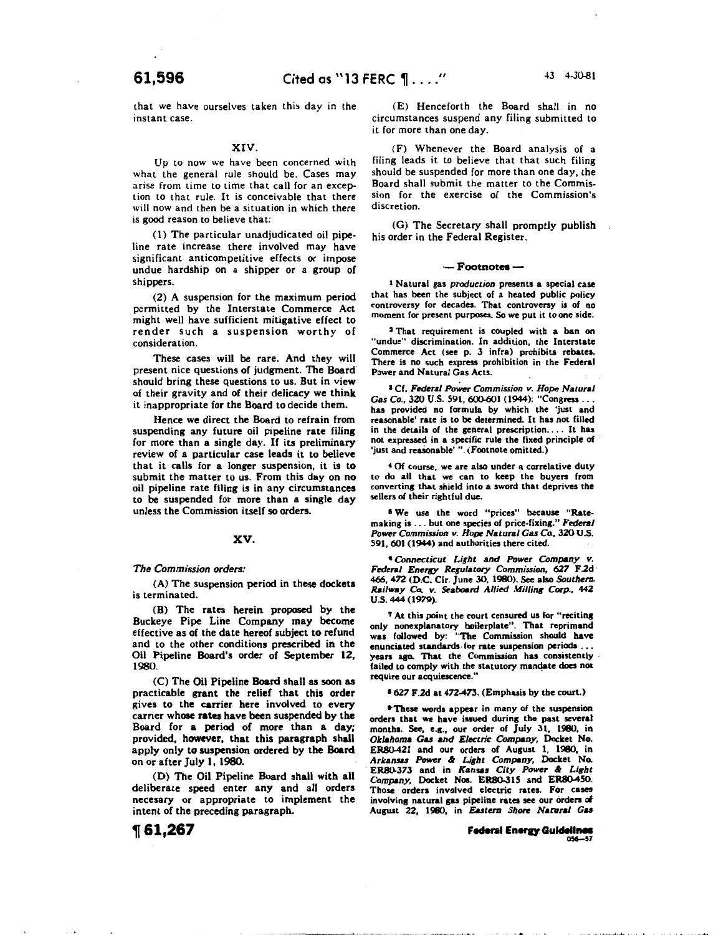that we have ourselves taken this day in the instant case.

## XIV.

Up to now we have been concerned with what the general rule should be. Cases may arise from time to time that call for an exception to that rule. It is conceivable that there will now and then be a situation in which there is good reason to believe that:

( 1) The particular unadjudicated oil pipeline rate increase there involved may have significant anticompetitive effects or impose undue hardship on a shipper or a group of shippers.

(2) A suspension for the maximum period permitted by the Interstate Commerce Act might well have sufficient mitigative effect to render such a suspension worthy of consideration.

These cases will be rare. And they will present nice questiohs of judgment. The Board· should bring these questions to us. But in view of their gravity and of their delicacy we think it inappropriate for the Board to decide them.

Hence we direct the Board to refrain from suspending any future oil pipeline rate filing for more than a single day. If its preliminary review of a particular case leads it to believe that it calls for a longer suspension, it is to submit the matter to us. From this day on no oil pipeline rate filing is in any circumstances to be suspended for more than a single day unless the Commission itself so orders.

## XV.

#### *The Commission orders:*

(A) The suspension period in these dockets is terminated.

(B) The rates herein proposed by the Buckeye Pipe Line Company may become effective as of the date hereof subject to refund and to the other conditions prescribed in the Oil Pipeline Board's order of September 12, 1980.

(C) The Oil Pipeline Board shall as soon as practicable grant the relief that this order gives to the carrier here involved to every carrier whose rates have been suspended by the Board for a period of more than a day; provided, however, that this paragraph shall apply only to suspension ordered by the Bo&rd on or after July 1, 1980.

(0) The Oil Pipeline Board shall with all deliberate speed enter any and all orders necesary or appropriate to implement the intent of the preceding paragraph.

(E) Henceforth the Board shall in no circumstances suspend any filing submitted to it for more than one day.

(F) Whenever the Board analysis of a filing leads it to believe that that such filing should be suspended for more than one day, the Board shall submit the matter to the Commission for the exercise of the Commission's discretion.

(G) The Secretary shall promptly publish his order in the Federal Register.

#### — Footnot<del>es</del> –

<sup>t</sup>Natural gas *production* presents a special case that has been the subject of a heated public policy controversy for decades. That controveny is of no moment for present purposes. So we put it to one side.

<sup>2</sup>That requirement is coupled with a ban on "undue" discrimination. In addition, the Interstate Commerce Act (see p. 3 infra) prohibits rebates. There is no such express prohibition in the Federal Power and Natural Gas Acts.

<sup>I</sup>Cf. Federal *Power Commission v. Hope Natural Gas Co.,* 320 U.S. 591, 600-601 (1944): "Congresa ... has provided no formula by which the 'just and reasonable' rate is to be determined. It has not filled in the details of the general prescription .... It has not expressed in a specific rule the fixed principle of 'just and reasonable'". (Footnote omitted.)

• Of course, we are also under a correlative duty to do all that we can to keep the buyers from converting that shield into a sword that deprives the sellers of their rightful due.

<sup>6</sup> We use the word "prices" because "Ratemaking is . . . but one species of price-fixing." **Federal** Power Commission v. Hope Natural Gas Co., 320 U.S. 591,601 (1944) and authorities there cited.

• *Connecticut Light and Power Company v.*  Federal *Energy Regulatory Commission, 627 F.2d* 466, 472 (D.C. Cir. June 30, 1980). See also *Southem. Railway Co. v. Seaboard Allied Milling Corp., 442* u.s. 444 (1979).

T At this point the court censured us for "reciting only nonexplanatory boilerplate". That reprimand was followed by: "The Commission should have enunciated standards for rate suspension periods ... years ago. That the Commission has consistently failed to comply with the statutory mandate does not require our acquiescence."

#### a *627* F.2d at 472-473. (Emphasis by the court.)

•These words appear in many of the suspension orders that we have isaued during the past several months. See, e.g., our order of July 31, 1980, in *OkJ.homa Gas and Electric Company,* Docket No. ER.S0-421 and our orden of August 1, 1980, in *Arkansas Power* .t *Light Company,* Docket No. ER80-373 and in Kansas City Power & Light *Company,* Docket Nos. ERB0-315 and ERB0-450. Those orders involved electric rates. For cases involving natural gas pipeline rates see our orders of August 22, 1980, in *Eastern Shore Natural Gas* 

> **Federal Energy Guidelines** 056-57

# **1[61,267**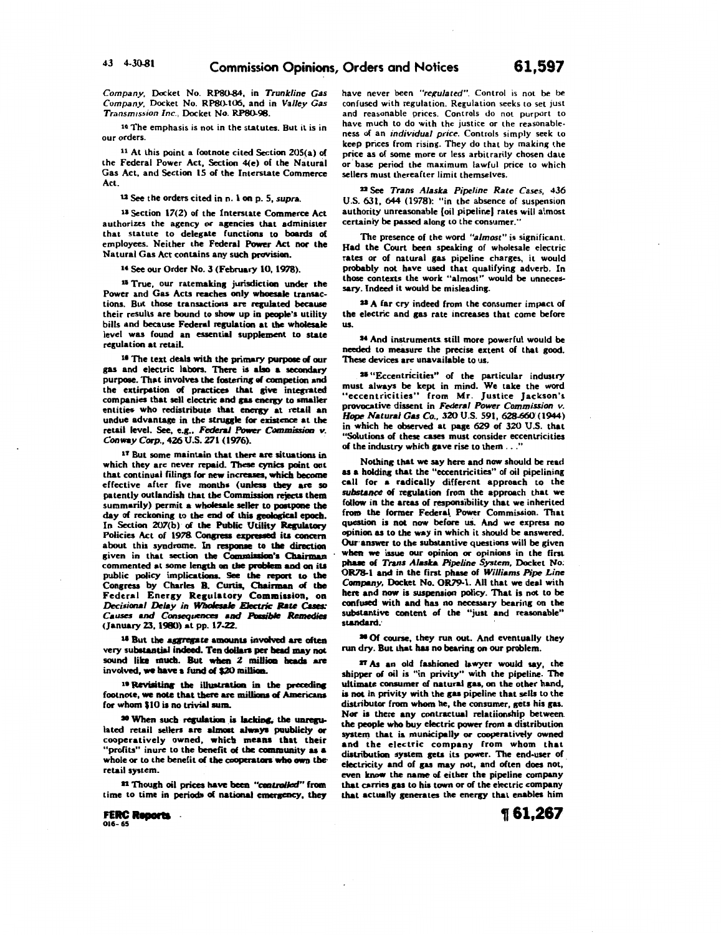*Company,* Docket No. RP80-84, in *Trunkline Gas Company,* Docket No. RPS0-106, and in *Valley Gas*  **Transmission Inc., Docket No. RP80-98.** 

10 The emphasis is not in the statutes. But it is in our orders.

11 At this point a footnote cited Section 205(a) of the Federal Power Act, Section 4(e) of the Natural Gas Act, and Section 15 of the Interstate Commerce Act.

12 See the orders cited in n. 1 on p. 5, *supra*.

11 Section 17(2) of the Interstate Commerce Act authorizes the agency or agencies that administer that statute to delegate functions to boards of employees. Neither the Federal Power Act nor the Natural Gas Act contains any such provision.

14 See our Order No. 3 (February 10, 1978).

16 True, our ratemaking jurisdiction under the Power and Gas Acts reaches only wboesale transactions. But those transactions are regulated because their results are bound to show up in people's utility bills and because Federal regulation at the wholesale level was found an essential supplement to state regulation at retail.

ta The text deals with the primary purpose of our gas and electric labors. There is abo a secondary purpose. That involves the fostering of competion and the extirpation of practices that give integrated companies that sell electric and gas energy to smaller entities who redistribute that energy at retail an undue advantage in the struggle for existence at the retail level. See, e.g., Federal Power Commission v. *Con-y* Corp., 426 U.S. *271* (1976).

17 But some maintain that there are situations in which they are never repaid. These cynics point out that continual filings for new increases, which become effective after five months (unless they are so patently outlandish that the Commission rejects them summarily) permit a wholesale seller to poatpone the day of reckoning to the end of this geological epoch. In Section 207(b) of the Public Utility Regulatory Policies Act of 1978. Congress expressed its concern about this syndrome. In responae to the direction given in that section the Commission's Chairman commented at some length on the problem and on its public policy implications. See the report to the Congress by Charles B. Curtis, Chairman of the Federal Enersy Resulatory Commission, on *Decisional Delay in Wholesale Electric Rate Cases:* Causes and Consequences and Possible Remedies <January 23, 1980) at pp. 17-22.

18 But the aggregate amounts involved are often very substantial indeed. Ten dollars per head may not sound like much. But when 2 million heads are involved, we have a fund of \$20 million.

<sup>19</sup> Revisiting the illustration in the preceding footnote, we note that there are millions of Americans for whom \$10 is no trivial sum.

<sup>30</sup> When such regulation is lacking, the unregulated retail sellers are almost always puublicly or cooperatively owned, whicb means tbat their "profits" inure to the benefit of the community as a whole or to the benefit of the cooperators who own the retail system.

11 Though oil prices have been "controlled" from time to time in periods of national emergency, they

**FERC Reports** .

have never been *"regulated".* Control is not be be confused with regulation. Regulation seeks to set just and reasonable prices. Controls do not purport to have much to do with the justice or the reasonableness of an *individual price.* Controls simply seek to keep prices from rising. They do that by making the price as of some more or less arbitrarily chosen date or base period the maximum lawful price to which sellers must thereafter limit themselves.

22 See *Trans Alaska Pipeline Rate Cases,* 436 U.S. 631, 644 (1978): "in the absence of suspension authority unreasonable [oil pipeline) rates will almost certainly be passed along to the consumer."

The presence of the word *"almost"* is significant. Had the Court been speaking of wholesale electric rates or of natural gas pipeline charges, it would probably not have used that qualifying adverb. In those contexts the work "almost" would be unnecessary. Indeed it would be misleading.

<sup>22</sup> A far cry indeed from the consumer impact of the electric and gas rate increases that come before us.

24 And instruments still more powerful would be needed to measure the precise extent of that good. These devices are unavailable to us.

<sup>25</sup> "Eccentricities" of the particular industry<br>must always be kept in mind. We take the word "eccentricities" from Mr. Justice Jackson's provocative dissent in *Federal Power Commission v. Hope Natural Gas Co.*, 320 U.S. 591, 628-660 (1944) in which he observed at page 629 of 320 U.S. that "Solutions of these cases must consider eccentricities of the industry which gave rise to them ..."

Nothing that we say here and now should be read as a holding that the "eccentricities" of oil pipelining call for a radically different approach to the *substance* of replation from the approach that we follow in the areas of responsibility that we inherited from the former Federal Power Commission. That question is not now before us. And we express no opinion as to the way in which it should be answered. Our· answer to the substantive questions will be given when we issue our opinion or opinions in the first phase of *Trans A/atka Pipeline System,* Docket No; OR78-1 and in the first phase of *Williams Pipe Line Compuy,* Docket No. OR79-l. All that we deal with here and now is suspension policy. That is not to be confused with and has no necessary bearing on the substantive content of the "just and reasonable" standard.·

• Of course, they run out. And eventually they run dry. But that has no bearing on our problem.

27 As an old fashioned lawyer would say, the shipper of oil is "in privity" with the pipeline. The ultimate consumer of natural gas, on the other hand, is not in privity with the gas pipeline that sells to the distributor from whom he, the consumer, gets his gas. Nor is there any contractual relatiionship between. the people who buy electric power from **a** distribution system that is municipally or cooperatively owned and the electric company from whom that distribution system sets its power. The end-user of electricity and of gas may not, and often does not, even know the name *ol* either the pipeline company that carries gas to his town or of the electric company that actually generates the energy that enables him